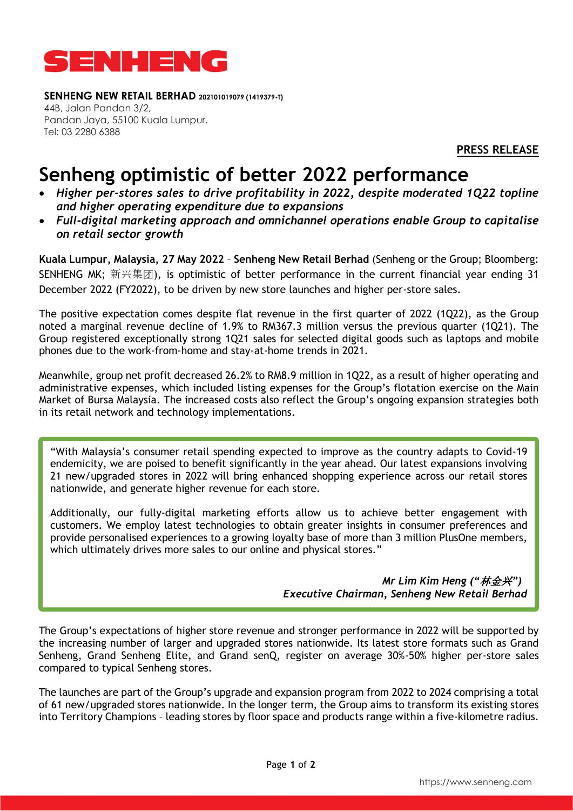

**SENHENG NEW RETAIL BERHAD 202101019079 (1419379-T)** 44B, Jalan Pandan 3/2, Pandan Jaya, 55100 Kuala Lumpur. Tel: 03 2280 6388

**PRESS RELEASE**

## **Senheng optimistic of better 2022 performance**

- *Higher per-stores sales to drive profitability in 2022, despite moderated 1Q22 topline and higher operating expenditure due to expansions*
- *Full-digital marketing approach and omnichannel operations enable Group to capitalise on retail sector growth*

**Kuala Lumpur, Malaysia, 27 May 2022** – **Senheng New Retail Berhad** (Senheng or the Group; Bloomberg: SENHENG MK; 新兴集团), is optimistic of better performance in the current financial year ending 31 December 2022 (FY2022), to be driven by new store launches and higher per-store sales.

The positive expectation comes despite flat revenue in the first quarter of 2022 (1Q22), as the Group noted a marginal revenue decline of 1.9% to RM367.3 million versus the previous quarter (1Q21). The Group registered exceptionally strong 1Q21 sales for selected digital goods such as laptops and mobile phones due to the work-from-home and stay-at-home trends in 2021.

Meanwhile, group net profit decreased 26.2% to RM8.9 million in 1Q22, as a result of higher operating and administrative expenses, which included listing expenses for the Group's flotation exercise on the Main Market of Bursa Malaysia. The increased costs also reflect the Group's ongoing expansion strategies both in its retail network and technology implementations.

"With Malaysia's consumer retail spending expected to improve as the country adapts to Covid-19 endemicity, we are poised to benefit significantly in the year ahead. Our latest expansions involving 21 new/upgraded stores in 2022 will bring enhanced shopping experience across our retail stores nationwide, and generate higher revenue for each store.

Additionally, our fully-digital marketing efforts allow us to achieve better engagement with customers. We employ latest technologies to obtain greater insights in consumer preferences and provide personalised experiences to a growing loyalty base of more than 3 million PlusOne members, which ultimately drives more sales to our online and physical stores."

> *Mr Lim Kim Heng ("*林金兴*") Executive Chairman, Senheng New Retail Berhad*

The Group's expectations of higher store revenue and stronger performance in 2022 will be supported by the increasing number of larger and upgraded stores nationwide. Its latest store formats such as Grand Senheng, Grand Senheng Elite, and Grand senQ, register on average 30%-50% higher per-store sales compared to typical Senheng stores.

The launches are part of the Group's upgrade and expansion program from 2022 to 2024 comprising a total of 61 new/upgraded stores nationwide. In the longer term, the Group aims to transform its existing stores into Territory Champions – leading stores by floor space and products range within a five-kilometre radius.